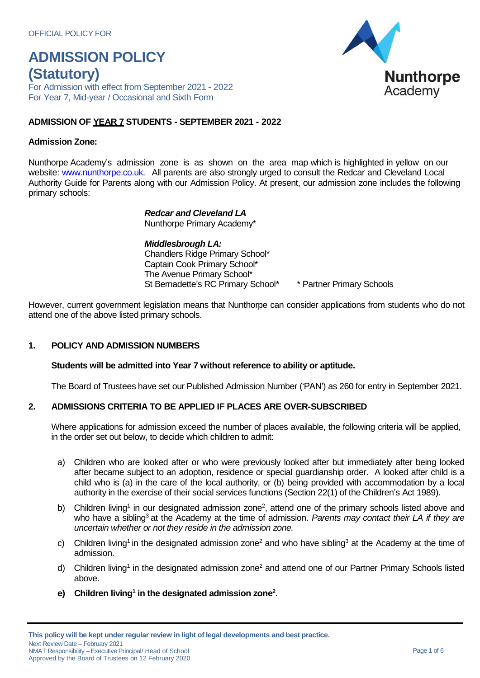For Admission with effect from September 2021 - 2022 For Year 7, Mid-year / Occasional and Sixth Form

# **ADMISSION OF YEAR 7 STUDENTS - SEPTEMBER 2021 - 2022**

### **Admission Zone:**

Nunthorpe Academy's admission zone is as shown on the area map which is highlighted in yellow on our website: [www.nunthorpe.co.uk.](http://www.nunthorpe.co.uk/) All parents are also strongly urged to consult the Redcar and Cleveland Local Authority Guide for Parents along with our Admission Policy. At present, our admission zone includes the following primary schools:

> *Redcar and Cleveland LA* Nunthorpe Primary Academy\*

*Middlesbrough LA:* Chandlers Ridge Primary School\* Captain Cook Primary School\* The Avenue Primary School\* St Bernadette's RC Primary School\* \* Partner Primary Schools

However, current government legislation means that Nunthorpe can consider applications from students who do not attend one of the above listed primary schools.

# **1. POLICY AND ADMISSION NUMBERS**

#### **Students will be admitted into Year 7 without reference to ability or aptitude.**

The Board of Trustees have set our Published Admission Number ('PAN') as 260 for entry in September 2021.

# **2. ADMISSIONS CRITERIA TO BE APPLIED IF PLACES ARE OVER-SUBSCRIBED**

Where applications for admission exceed the number of places available, the following criteria will be applied, in the order set out below, to decide which children to admit:

- a) Children who are looked after or who were previously looked after but immediately after being looked after became subject to an adoption, residence or special guardianship order. A looked after child is a child who is (a) in the care of the local authority, or (b) being provided with accommodation by a local authority in the exercise of their social services functions (Section 22(1) of the Children's Act 1989).
- b) Children living<sup>1</sup> in our designated admission zone<sup>2</sup>, attend one of the primary schools listed above and who have a sibling<sup>3</sup> at the Academy at the time of admission. *Parents may contact their LA if they are uncertain whether or not they reside in the admission zone.*
- c) Children living<sup>1</sup> in the designated admission zone<sup>2</sup> and who have sibling<sup>3</sup> at the Academy at the time of admission.
- d) Children living<sup>1</sup> in the designated admission zone<sup>2</sup> and attend one of our Partner Primary Schools listed above.
- **e) Children living 1 in the designated admission zone<sup>2</sup> .**

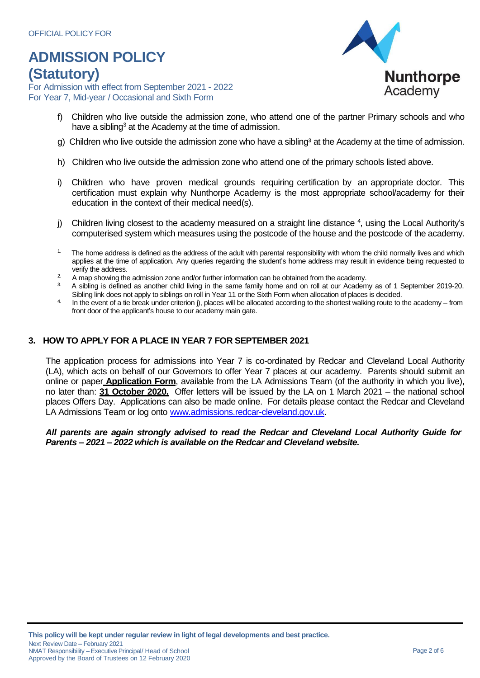For Admission with effect from September 2021 - 2022 For Year 7, Mid-year / Occasional and Sixth Form



- f) Children who live outside the admission zone, who attend one of the partner Primary schools and who have a sibling<sup>3</sup> at the Academy at the time of admission.
- g) Children who live outside the admission zone who have a sibling<sup>3</sup> at the Academy at the time of admission.
- h) Children who live outside the admission zone who attend one of the primary schools listed above.
- i) Children who have proven medical grounds requiring certification by an appropriate doctor. This certification must explain why Nunthorpe Academy is the most appropriate school/academy for their education in the context of their medical need(s).
- j) Children living closest to the academy measured on a straight line distance <sup>4</sup>, using the Local Authority's computerised system which measures using the postcode of the house and the postcode of the academy.
- $1.$  The home address is defined as the address of the adult with parental responsibility with whom the child normally lives and which applies at the time of application. Any queries regarding the student's home address may result in evidence being requested to verify the address.
- $2.$  A map showing the admission zone and/or further information can be obtained from the academy.
- 3. A sibling is defined as another child living in the same family home and on roll at our Academy as of 1 September 2019-20. Sibling link does not apply to siblings on roll in Year 11 or the Sixth Form when allocation of places is decided.
- In the event of a tie break under criterion j), places will be allocated according to the shortest walking route to the academy from front door of the applicant's house to our academy main gate.

# **3. HOW TO APPLY FOR A PLACE IN YEAR 7 FOR SEPTEMBER 2021**

The application process for admissions into Year 7 is co-ordinated by Redcar and Cleveland Local Authority (LA), which acts on behalf of our Governors to offer Year 7 places at our academy. Parents should submit an online or paper **Application Form**, available from the LA Admissions Team (of the authority in which you live), no later than: **31 October 2020.** Offer letters will be issued by the LA on 1 March 2021 – the national school places Offers Day. Applications can also be made online. For details please contact the Redcar and Cleveland LA Admissions Team or log onto [www.admissions.redcar-cleveland.gov.uk.](http://www.admissions.redcar-cleveland.gov.uk/)

#### *All parents are again strongly advised to read the Redcar and Cleveland Local Authority Guide for Parents – 2021 – 2022 which is available on the Redcar and Cleveland website.*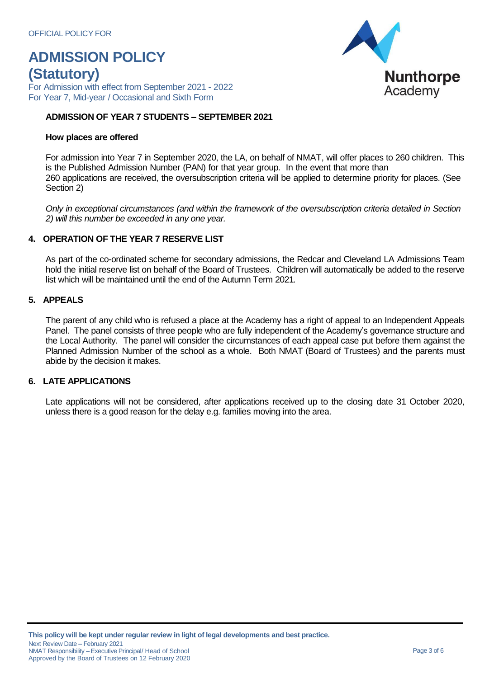For Admission with effect from September 2021 - 2022 For Year 7, Mid-year / Occasional and Sixth Form

### **ADMISSION OF YEAR 7 STUDENTS – SEPTEMBER 2021**

#### **How places are offered**

For admission into Year 7 in September 2020, the LA, on behalf of NMAT, will offer places to 260 children. This is the Published Admission Number (PAN) for that year group. In the event that more than 260 applications are received, the oversubscription criteria will be applied to determine priority for places. (See Section 2)

*Only in exceptional circumstances (and within the framework of the oversubscription criteria detailed in Section 2) will this number be exceeded in any one year.*

# **4. OPERATION OF THE YEAR 7 RESERVE LIST**

As part of the co-ordinated scheme for secondary admissions, the Redcar and Cleveland LA Admissions Team hold the initial reserve list on behalf of the Board of Trustees. Children will automatically be added to the reserve list which will be maintained until the end of the Autumn Term 2021*.*

# **5. APPEALS**

The parent of any child who is refused a place at the Academy has a right of appeal to an Independent Appeals Panel. The panel consists of three people who are fully independent of the Academy's governance structure and the Local Authority. The panel will consider the circumstances of each appeal case put before them against the Planned Admission Number of the school as a whole. Both NMAT (Board of Trustees) and the parents must abide by the decision it makes.

#### **6. LATE APPLICATIONS**

Late applications will not be considered, after applications received up to the closing date 31 October 2020, unless there is a good reason for the delay e.g. families moving into the area.

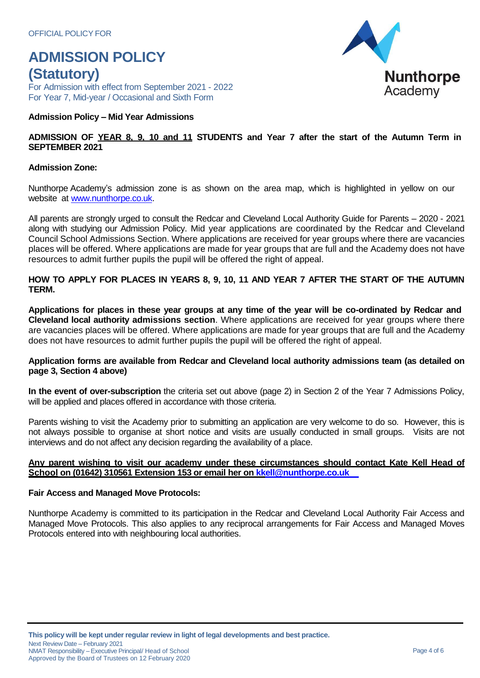For Admission with effect from September 2021 - 2022 For Year 7, Mid-year / Occasional and Sixth Form

### **Admission Policy – Mid Year Admissions**

### ADMISSION OF YEAR 8, 9, 10 and 11 STUDENTS and Year 7 after the start of the Autumn Term in **SEPTEMBER 2021**

#### **Admission Zone:**

Nunthorpe Academy's admission zone is as shown on the area map, which is highlighted in yellow on our website at [www.nunthorpe.co.uk.](http://www.nunthorpe.co.uk/)

All parents are strongly urged to consult the Redcar and Cleveland Local Authority Guide for Parents – 2020 - 2021 along with studying our Admission Policy. Mid year applications are coordinated by the Redcar and Cleveland Council School Admissions Section. Where applications are received for year groups where there are vacancies places will be offered. Where applications are made for year groups that are full and the Academy does not have resources to admit further pupils the pupil will be offered the right of appeal.

### **HOW TO APPLY FOR PLACES IN YEARS 8, 9, 10, 11 AND YEAR 7 AFTER THE START OF THE AUTUMN TERM.**

Applications for places in these year groups at any time of the year will be co-ordinated by Redcar and **Cleveland local authority admissions section**. Where applications are received for year groups where there are vacancies places will be offered. Where applications are made for year groups that are full and the Academy does not have resources to admit further pupils the pupil will be offered the right of appeal.

#### **Application forms are available from Redcar and Cleveland local authority admissions team (as detailed on page 3, Section 4 above)**

**In the event of over-subscription** the criteria set out above (page 2) in Section 2 of the Year 7 Admissions Policy, will be applied and places offered in accordance with those criteria.

Parents wishing to visit the Academy prior to submitting an application are very welcome to do so. However, this is not always possible to organise at short notice and visits are usually conducted in small groups. Visits are not interviews and do not affect any decision regarding the availability of a place.

#### **Any parent wishing to visit our academy under these circumstances should contact Kate Kell Head of School on (01642) 310561 Extension 153 or email her on [kkell@nunthorpe.co.uk](mailto:kkell@nunthorpe.co.uk)**

#### **Fair Access and Managed Move Protocols:**

Nunthorpe Academy is committed to its participation in the Redcar and Cleveland Local Authority Fair Access and Managed Move Protocols. This also applies to any reciprocal arrangements for Fair Access and Managed Moves Protocols entered into with neighbouring local authorities.

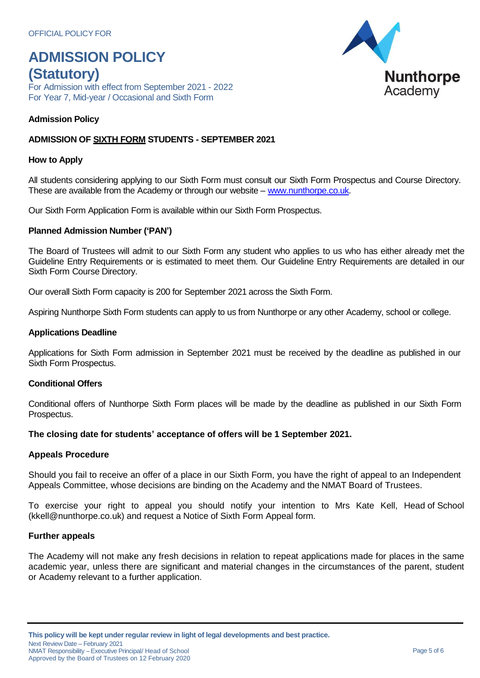For Admission with effect from September 2021 - 2022 For Year 7, Mid-year / Occasional and Sixth Form

# **Admission Policy**

# **ADMISSION OF SIXTH FORM STUDENTS - SEPTEMBER 2021**

#### **How to Apply**

All students considering applying to our Sixth Form must consult our Sixth Form Prospectus and Course Directory. These are available from the Academy or through our website – [www.nunthorpe.co.uk.](http://www.nunthorpe.co.uk/)

Our Sixth Form Application Form is available within our Sixth Form Prospectus.

#### **Planned Admission Number ('PAN')**

The Board of Trustees will admit to our Sixth Form any student who applies to us who has either already met the Guideline Entry Requirements or is estimated to meet them. Our Guideline Entry Requirements are detailed in our Sixth Form Course Directory.

Our overall Sixth Form capacity is 200 for September 2021 across the Sixth Form.

Aspiring Nunthorpe Sixth Form students can apply to us from Nunthorpe or any other Academy, school or college.

#### **Applications Deadline**

Applications for Sixth Form admission in September 2021 must be received by the deadline as published in our Sixth Form Prospectus.

#### **Conditional Offers**

Conditional offers of Nunthorpe Sixth Form places will be made by the deadline as published in our Sixth Form Prospectus.

**The closing date for students' acceptance of offers will be 1 September 2021.**

#### **Appeals Procedure**

Should you fail to receive an offer of a place in our Sixth Form, you have the right of appeal to an Independent Appeals Committee, whose decisions are binding on the Academy and the NMAT Board of Trustees.

To exercise your right to appeal you should notify your intention to Mrs Kate Kell, Head of School [\(kkell@nunthorpe.co.uk\)](mailto:kkell@nunthorpe.co.uk) and request a Notice of Sixth Form Appeal form.

### **Further appeals**

The Academy will not make any fresh decisions in relation to repeat applications made for places in the same academic year, unless there are significant and material changes in the circumstances of the parent, student or Academy relevant to a further application.